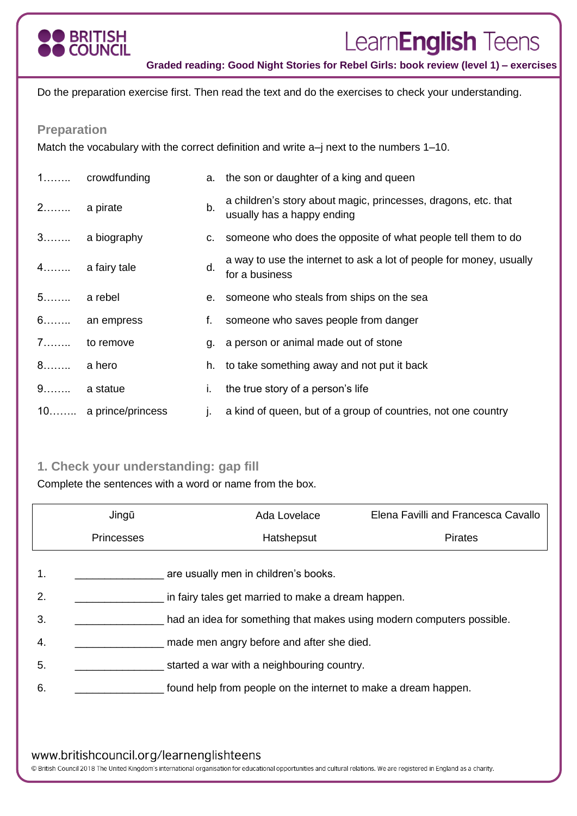

# Learn**English** Teens

**Graded reading: Good Night Stories for Rebel Girls: book review (level 1) – exercises**

Do the preparation exercise first. Then read the text and do the exercises to check your understanding.

#### **Preparation**

Match the vocabulary with the correct definition and write a–j next to the numbers 1–10.

|             | 1 crowdfunding       |    | a. the son or daughter of a king and queen                                                   |
|-------------|----------------------|----|----------------------------------------------------------------------------------------------|
| 2 a pirate  |                      | b. | a children's story about magic, princesses, dragons, etc. that<br>usually has a happy ending |
|             | 3 a biography        |    | c. someone who does the opposite of what people tell them to do                              |
|             | 4 a fairy tale       | d. | a way to use the internet to ask a lot of people for money, usually<br>for a business        |
| $5$ a rebel |                      |    | e. someone who steals from ships on the sea                                                  |
|             | 6 an empress         | f. | someone who saves people from danger                                                         |
| 7.          | to remove            |    | g. a person or animal made out of stone                                                      |
| 8 a hero    |                      |    | h. to take something away and not put it back                                                |
| 9 a statue  |                      | Ι. | the true story of a person's life                                                            |
|             | 10 a prince/princess | Τ. | a kind of queen, but of a group of countries, not one country                                |

### **1. Check your understanding: gap fill**

Complete the sentences with a word or name from the box.

|    | Jingū                                              | Ada Lovelace                                                          | Elena Favilli and Francesca Cavallo |  |  |  |
|----|----------------------------------------------------|-----------------------------------------------------------------------|-------------------------------------|--|--|--|
|    | <b>Princesses</b>                                  | Hatshepsut                                                            | <b>Pirates</b>                      |  |  |  |
| 1. |                                                    | are usually men in children's books.                                  |                                     |  |  |  |
| 2. | in fairy tales get married to make a dream happen. |                                                                       |                                     |  |  |  |
| 3. |                                                    | had an idea for something that makes using modern computers possible. |                                     |  |  |  |
| 4. |                                                    | made men angry before and after she died.                             |                                     |  |  |  |
| 5. |                                                    | started a war with a neighbouring country.                            |                                     |  |  |  |
| 6. |                                                    | found help from people on the internet to make a dream happen.        |                                     |  |  |  |

#### www.britishcouncil.org/learnenglishteens

© British Council 2018 The United Kingdom's international organisation for educational opportunities and cultural relations. We are registered in England as a charity.